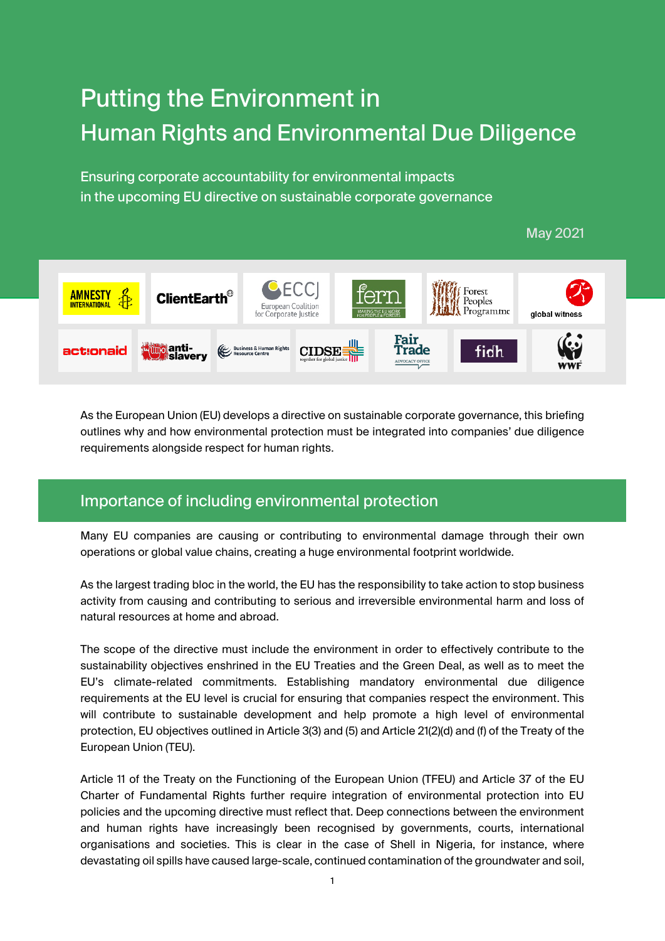# Putting the Environment in Human Rights and Environmental Due Diligence

Ensuring corporate accountability for environmental impacts in the upcoming EU directive on sustainable corporate governance

#### May 2021 Forest **AMNESTY ClientEarth<sup>®</sup>** Peoples **Euronean Coalition** Programme for Corporate Justin global witness Fair **umolanti-**<br>Umb slavery Business & Human Rights<br>Resource Centre **CIDSE** act:onaid Trade fidh

As the European Union (EU) develops a directive on sustainable corporate governance, this briefing outlines why and how environmental protection must be integrated into companies' due diligence requirements alongside respect for human rights.

# Importance of including environmental protection

Many EU companies are causing or contributing to environmental damage through their own operations or global value chains, creating a huge environmental footprint worldwide.

As the largest trading bloc in the world, the EU has the responsibility to take action to stop business activity from causing and contributing to serious and irreversible environmental harm and loss of natural resources at home and abroad.

The scope of the directive must include the environment in order to effectively contribute to the sustainability objectives enshrined in the EU Treaties and the Green Deal, as well as to meet the EU's climate-related commitments. Establishing mandatory environmental due diligence requirements at the EU level is crucial for ensuring that companies respect the environment. This will contribute to sustainable development and help promote a high level of environmental protection, EU objectives outlined in Article 3(3) and (5) and Article 21(2)(d) and (f) of the Treaty of the European Union (TEU).

Article 11 of the Treaty on the Functioning of the European Union (TFEU) and Article 37 of the EU Charter of Fundamental Rights further require integration of environmental protection into EU policies and the upcoming directive must reflect that. Deep connections between the environment and human rights have increasingly been recognised by governments, courts, international organisations and societies. This is clear in the case of Shell in Nigeria, for instance, where devastating oil spills have caused large-scale, continued contamination of the groundwater and soil,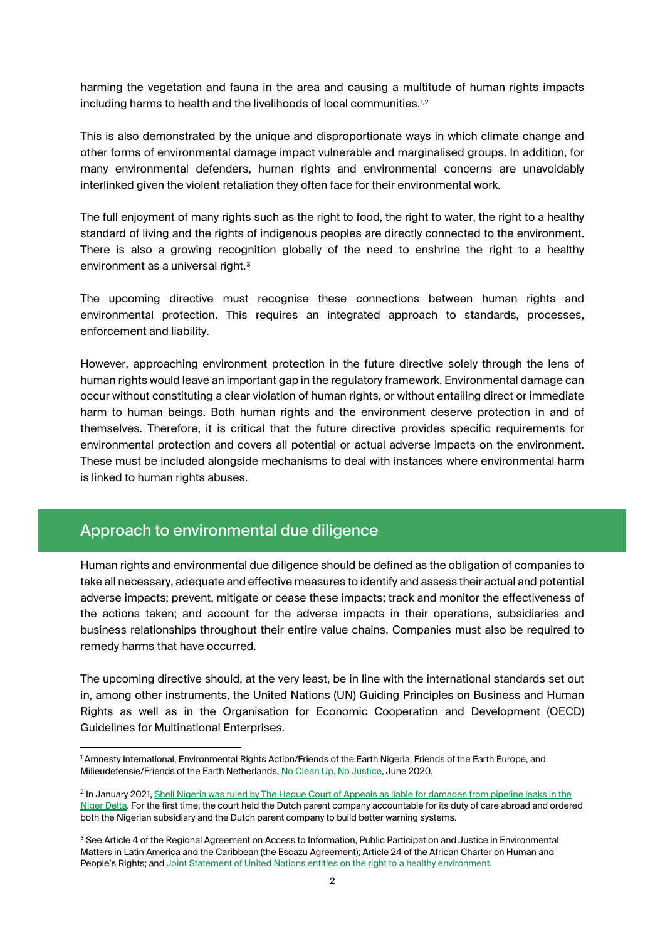harming the vegetation and fauna in the area and causing a multitude of human rights impacts including harms to health and the livelihoods of local communities. $^{1,2}$  $^{1,2}$  $^{1,2}$  $^{1,2}$ 

This is also demonstrated by the unique and disproportionate ways in which climate change and other forms of environmental damage impact vulnerable and marginalised groups. In addition, for many environmental defenders, human rights and environmental concerns are unavoidably interlinked given the violent retaliation they often face for their environmental work.

The full enjoyment of many rights such as the right to food, the right to water, the right to a healthy standard of living and the rights of indigenous peoples are directly connected to the environment. There is also a growing recognition globally of the need to enshrine the right to a healthy environment as a universal right.<sup>[3](#page-1-2)</sup>

The upcoming directive must recognise these connections between human rights and environmental protection. This requires an integrated approach to standards, processes, enforcement and liability.

However, approaching environment protection in the future directive solely through the lens of human rights would leave an important gap in the regulatory framework. Environmental damage can occur without constituting a clear violation of human rights, or without entailing direct or immediate harm to human beings. Both human rights and the environment deserve protection in and of themselves. Therefore, it is critical that the future directive provides specific requirements for environmental protection and covers all potential or actual adverse impacts on the environment. These must be included alongside mechanisms to deal with instances where environmental harm is linked to human rights abuses.

# Approach to environmental due diligence

 $\overline{a}$ 

Human rights and environmental due diligence should be defined as the obligation of companies to take all necessary, adequate and effective measures to identify and assess their actual and potential adverse impacts; prevent, mitigate or cease these impacts; track and monitor the effectiveness of the actions taken; and account for the adverse impacts in their operations, subsidiaries and business relationships throughout their entire value chains. Companies must also be required to remedy harms that have occurred.

The upcoming directive should, at the very least, be in line with the international standards set out in, among other instruments, the United Nations (UN) Guiding Principles on Business and Human Rights as well as in the Organisation for Economic Cooperation and Development (OECD) Guidelines for Multinational Enterprises.

<span id="page-1-0"></span><sup>1</sup> Amnesty International, Environmental Rights Action/Friends of the Earth Nigeria, Friends of the Earth Europe, and Milieudefensie/Friends of the Earth Netherlands, No Clean [Up, No Justice,](https://www.amnesty.org/download/Documents/AFR4425142020ENGLISH.PDF) June 2020.

<span id="page-1-1"></span><sup>&</sup>lt;sup>2</sup> In January 2021, Shell Nigeria was ruled by The Hague Court of Appeals as liable for damages from pipeline leaks in the [Niger Delta.](https://friendsoftheearth.eu/press-release/nigerian-farmers-and-friends-of-the-earth-win-oil-pollution-case/) For the first time, the court held the Dutch parent company accountable for its duty of care abroad and ordered both the Nigerian subsidiary and the Dutch parent company to build better warning systems.

<span id="page-1-2"></span><sup>&</sup>lt;sup>3</sup> See Article 4 of the Regional Agreement on Access to Information, Public Participation and Justice in Environmental Matters in Latin America and the Caribbean (the Escazu Agreement); Article 24 of the African Charter on Human and People's Rights; an[d Joint Statement of United Nations entities on the right to a healthy environment.](https://www.unep.org/news-and-stories/statements/joint-statement-united-nations-entities-right-healthy-environment)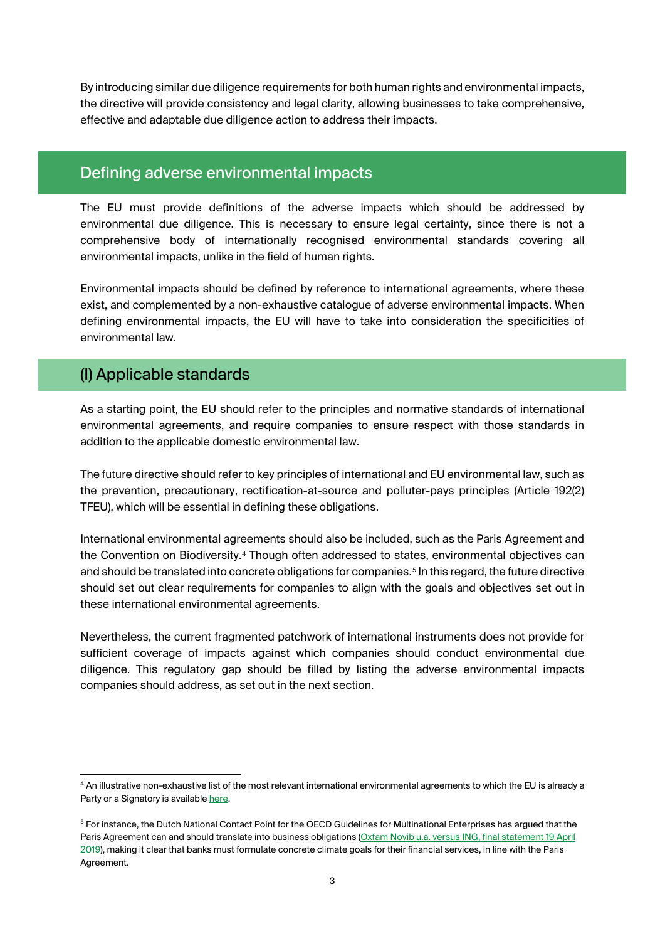By introducing similar due diligence requirements for both human rights and environmental impacts, the directive will provide consistency and legal clarity, allowing businesses to take comprehensive, effective and adaptable due diligence action to address their impacts.

### Defining adverse environmental impacts

The EU must provide definitions of the adverse impacts which should be addressed by environmental due diligence. This is necessary to ensure legal certainty, since there is not a comprehensive body of internationally recognised environmental standards covering all environmental impacts, unlike in the field of human rights.

Environmental impacts should be defined by reference to international agreements, where these exist, and complemented by a non-exhaustive catalogue of adverse environmental impacts. When defining environmental impacts, the EU will have to take into consideration the specificities of environmental law.

# (I) Applicable standards

 $\overline{a}$ 

As a starting point, the EU should refer to the principles and normative standards of international environmental agreements, and require companies to ensure respect with those standards in addition to the applicable domestic environmental law.

The future directive should refer to key principles of international and EU environmental law, such as the prevention, precautionary, rectification-at-source and polluter-pays principles (Article 192(2) TFEU), which will be essential in defining these obligations.

International environmental agreements should also be included, such as the Paris Agreement and the Convention on Biodiversity.<sup>[4](#page-2-0)</sup> Though often addressed to states, environmental objectives can and should be translated into concrete obligations for companies.<sup>[5](#page-2-1)</sup> In this regard, the future directive should set out clear requirements for companies to align with the goals and objectives set out in these international environmental agreements.

Nevertheless, the current fragmented patchwork of international instruments does not provide for sufficient coverage of impacts against which companies should conduct environmental due diligence. This regulatory gap should be filled by listing the adverse environmental impacts companies should address, as set out in the next section.

<span id="page-2-0"></span><sup>4</sup> An illustrative non-exhaustive list of the most relevant international environmental agreements to which the EU is already a Party or a Signatory is availabl[e here.](https://ec.europa.eu/environment/international_issues/agreements_en.htm)

<span id="page-2-1"></span><sup>5</sup> For instance, the Dutch National Contact Point for the OECD Guidelines for Multinational Enterprises has argued that the Paris Agreement can and should translate into business obligations (Oxfam Novib u.a. versus ING, final statement 19 April [2019\),](https://www.oecdguidelines.nl/binaries/oecd-guidelines/documents/publication/2019/04/19/ncp-final-statement-4-ngos-vs-ing/20190419+NGOs+vs+ING+-+FS+%28WCAG%29.pdf) making it clear that banks must formulate concrete climate goals for their financial services, in line with the Paris Agreement.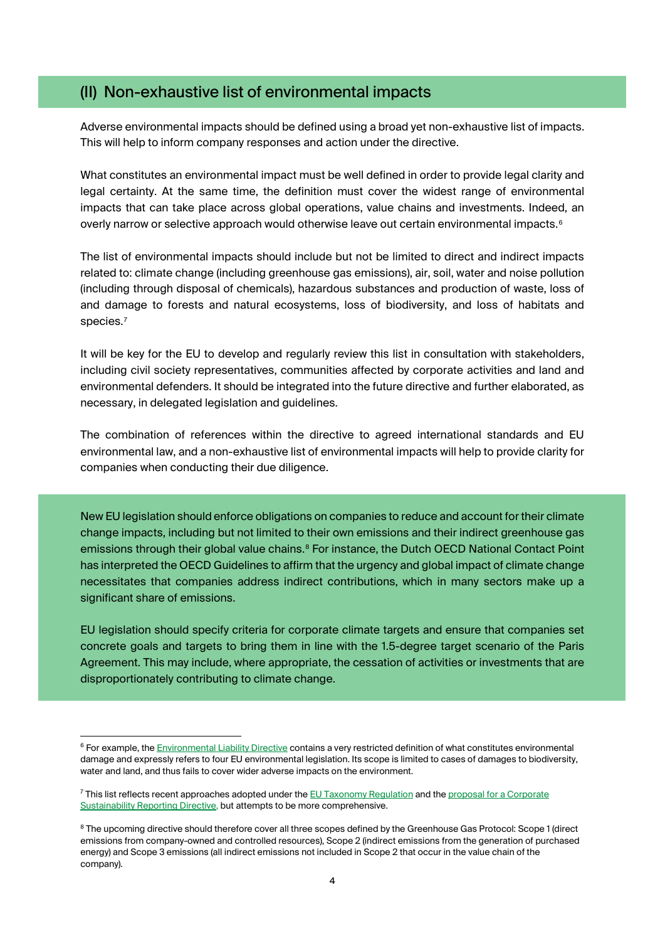#### (II) Non-exhaustive list of environmental impacts

Adverse environmental impacts should be defined using a broad yet non-exhaustive list of impacts. This will help to inform company responses and action under the directive.

What constitutes an environmental impact must be well defined in order to provide legal clarity and legal certainty. At the same time, the definition must cover the widest range of environmental impacts that can take place across global operations, value chains and investments. Indeed, an overly narrow or selective approach would otherwise leave out certain environmental impacts. [6](#page-3-0)

The list of environmental impacts should include but not be limited to direct and indirect impacts related to: climate change (including greenhouse gas emissions), air, soil, water and noise pollution (including through disposal of chemicals), hazardous substances and production of waste, loss of and damage to forests and natural ecosystems, loss of biodiversity, and loss of habitats and species.[7](#page-3-1)

It will be key for the EU to develop and regularly review this list in consultation with stakeholders, including civil society representatives, communities affected by corporate activities and land and environmental defenders. It should be integrated into the future directive and further elaborated, as necessary, in delegated legislation and guidelines.

The combination of references within the directive to agreed international standards and EU environmental law, and a non-exhaustive list of environmental impacts will help to provide clarity for companies when conducting their due diligence.

New EU legislation should enforce obligations on companies to reduce and account for their climate change impacts, including but not limited to their own emissions and their indirect greenhouse gas emissions through their global value chains.<sup>[8](#page-3-2)</sup> For instance, the Dutch OECD National Contact Point has interpreted the OECD Guidelines to affirm that the urgency and global impact of climate change necessitates that companies address indirect contributions, which in many sectors make up a significant share of emissions.

EU legislation should specify criteria for corporate climate targets and ensure that companies set concrete goals and targets to bring them in line with the 1.5-degree target scenario of the Paris Agreement. This may include, where appropriate, the cessation of activities or investments that are disproportionately contributing to climate change.

 $\overline{a}$ 

<span id="page-3-0"></span><sup>&</sup>lt;sup>6</sup> For example, th[e Environmental Liability Directive](https://eur-lex.europa.eu/legal-content/EN/TXT/?uri=CELEX%3A02004L0035-20190626) contains a very restricted definition of what constitutes environmental damage and expressly refers to four EU environmental legislation. Its scope is limited to cases of damages to biodiversity, water and land, and thus fails to cover wider adverse impacts on the environment.

<span id="page-3-1"></span><sup>&</sup>lt;sup>7</sup> This list reflects recent approaches adopted under th[e EU Taxonomy Regulation](https://eur-lex.europa.eu/legal-content/EN/TXT/?uri=celex:32020R0852) and the proposal for a Corporate [Sustainability Reporting](https://ec.europa.eu/finance/docs/law/210421-proposal-corporate-sustainability-reporting_en.pdf) Directive, but attempts to be more comprehensive.

<span id="page-3-2"></span><sup>&</sup>lt;sup>8</sup> The upcoming directive should therefore cover all three scopes defined by the Greenhouse Gas Protocol: Scope 1 (direct emissions from company-owned and controlled resources), Scope 2 (indirect emissions from the generation of purchased energy) and Scope 3 emissions (all indirect emissions not included in Scope 2 that occur in the value chain of the company).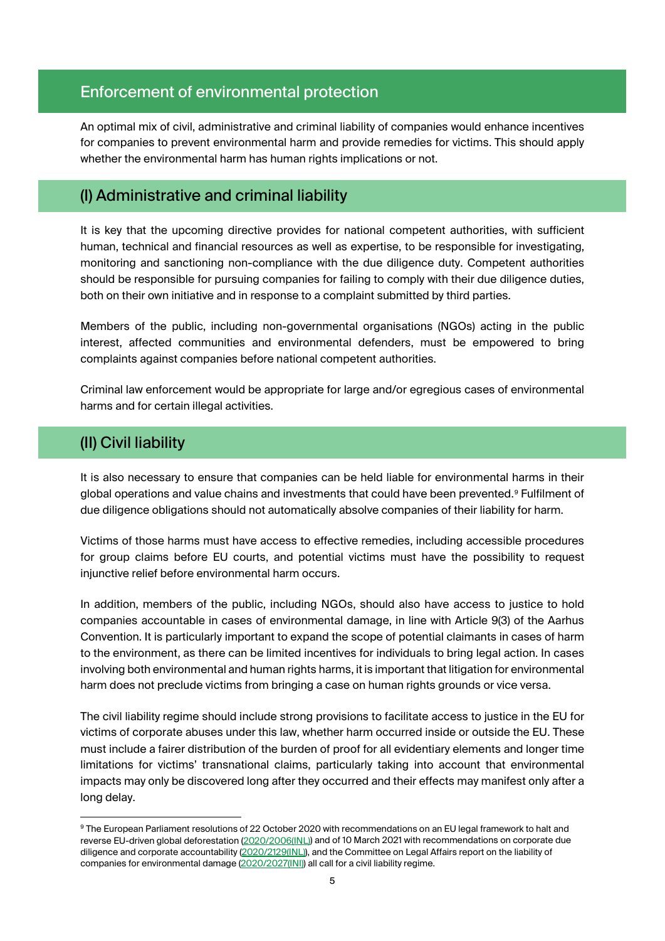# Enforcement of environmental protection

An optimal mix of civil, administrative and criminal liability of companies would enhance incentives for companies to prevent environmental harm and provide remedies for victims. This should apply whether the environmental harm has human rights implications or not.

## (I) Administrative and criminal liability

It is key that the upcoming directive provides for national competent authorities, with sufficient human, technical and financial resources as well as expertise, to be responsible for investigating, monitoring and sanctioning non-compliance with the due diligence duty. Competent authorities should be responsible for pursuing companies for failing to comply with their due diligence duties, both on their own initiative and in response to a complaint submitted by third parties.

Members of the public, including non-governmental organisations (NGOs) acting in the public interest, affected communities and environmental defenders, must be empowered to bring complaints against companies before national competent authorities.

Criminal law enforcement would be appropriate for large and/or egregious cases of environmental harms and for certain illegal activities.

# (II) Civil liability

<u>.</u>

It is also necessary to ensure that companies can be held liable for environmental harms in their global operations and value chains and investments that could have been prevented.<sup>[9](#page-4-0)</sup> Fulfilment of due diligence obligations should not automatically absolve companies of their liability for harm.

Victims of those harms must have access to effective remedies, including accessible procedures for group claims before EU courts, and potential victims must have the possibility to request injunctive relief before environmental harm occurs.

In addition, members of the public, including NGOs, should also have access to justice to hold companies accountable in cases of environmental damage, in line with Article 9(3) of the Aarhus Convention. It is particularly important to expand the scope of potential claimants in cases of harm to the environment, as there can be limited incentives for individuals to bring legal action. In cases involving both environmental and human rights harms, it is important that litigation for environmental harm does not preclude victims from bringing a case on human rights grounds or vice versa.

The civil liability regime should include strong provisions to facilitate access to justice in the EU for victims of corporate abuses under this law, whether harm occurred inside or outside the EU. These must include a fairer distribution of the burden of proof for all evidentiary elements and longer time limitations for victims' transnational claims, particularly taking into account that environmental impacts may only be discovered long after they occurred and their effects may manifest only after a long delay.

<span id="page-4-0"></span><sup>9</sup> The European Parliament resolutions of 22 October 2020 with recommendations on an EU legal framework to halt and reverse EU-driven global deforestation [\(2020/2006\(INL\)\)](https://www.europarl.europa.eu/doceo/document/TA-9-2020-0285_EN.html) and of 10 March 2021 with recommendations on corporate due diligence and corporate accountability [\(2020/2129\(INL\)\),](https://www.europarl.europa.eu/doceo/document/TA-9-2021-0073_EN.html) and the Committee on Legal Affairs report on the liability of companies for environmental damage [\(2020/2027\(INI\)\)](https://www.europarl.europa.eu/doceo/document/A-9-2021-0112_EN.html) all call for a civil liability regime.